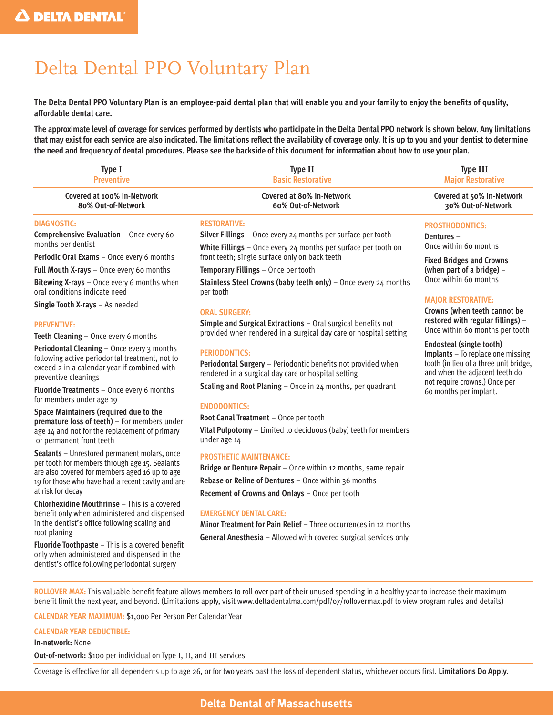# Delta Dental PPO Voluntary Plan

**The Delta Dental PPO Voluntary Plan is an employee-paid dental plan that will enable you and your family to enjoy the benefits of quality, affordable dental care.**

**The approximate level of coverage for services performed by dentists who participate in the Delta Dental PPO network is shown below. Any limitations that may exist for each service are also indicated. The limitations reflect the availability of coverage only. It is up to you and your dentist to determine the need and frequency of dental procedures. Please see the backside of this document for information about how to use your plan.**

| Type I                                   | <b>Type II</b>                                                        | <b>Type III</b>           |
|------------------------------------------|-----------------------------------------------------------------------|---------------------------|
| <b>Preventive</b>                        | <b>Basic Restorative</b>                                              | <b>Major Restorative</b>  |
| Covered at 100% In-Network               | Covered at 80% In-Network                                             | Covered at 50% In-Network |
| 80% Out-of-Network                       | 60% Out-of-Network                                                    | 30% Out-of-Network        |
| DIAGNOSTIC:                              | <b>RESTORATIVE:</b>                                                   | <b>PROSTHODONTICS:</b>    |
| Comprehensive Evaluation - Once every 60 | <b>Silver Fillings</b> – Once every $24$ months per surface per tooth | Dentures $-$              |

months per dentist

**Periodic Oral Exams** – Once every 6 months

**Full Mouth X-rays** – Once every 60 months

**Bitewing X-rays** – Once every 6 months when oral conditions indicate need

**Single Tooth X-rays** – As needed

#### **PREVENTIVE:**

**Teeth Cleaning** – Once every 6 months

**Periodontal Cleaning** – Once every 3 months following active periodontal treatment, not to exceed 2 in a calendar year if combined with preventive cleanings

**Fluoride Treatments** – Once every 6 months for members under age 19

**Space Maintainers (required due to the premature loss of teeth)** – For members under age 14 and not for the replacement of primary or permanent front teeth

**Sealants** – Unrestored permanent molars, once per tooth for members through age 15. Sealants are also covered for members aged 16 up to age 19 for those who have had a recent cavity and are at risk for decay

**Chlorhexidine Mouthrinse** – This is a covered benefit only when administered and dispensed in the dentist's office following scaling and root planing

**Fluoride Toothpaste** – This is a covered benefit only when administered and dispensed in the dentist's office following periodontal surgery

**White Fillings** – Once every 24 months per surface per tooth on front teeth; single surface only on back teeth

**Temporary Fillings** – Once per tooth

**Stainless Steel Crowns (baby teeth only)** – Once every 24 months per tooth

#### **ORAL SURGERY:**

**Simple and Surgical Extractions** – Oral surgical benefits not provided when rendered in a surgical day care or hospital setting

#### **PERIODONTICS:**

**Periodontal Surgery** – Periodontic benefits not provided when rendered in a surgical day care or hospital setting

**Scaling and Root Planing** – Once in 24 months, per quadrant

#### **ENDODONTICS:**

**Root Canal Treatment** – Once per tooth

**Vital Pulpotomy** – Limited to deciduous (baby) teeth for members under age 14

#### **PROSTHETIC MAINTENANCE:**

**Bridge or Denture Repair** – Once within 12 months, same repair **Rebase or Reline of Dentures** – Once within 36 months **Recement of Crowns and Onlays** – Once per tooth

#### **EMERGENCY DENTAL CARE:**

**Minor Treatment for Pain Relief** – Three occurrences in 12 months **General Anesthesia** – Allowed with covered surgical services only

**Dentures** – Once within 60 months

**Fixed Bridges and Crowns (when part of a bridge)** – Once within 60 months

#### **MAJOR RESTORATIVE:**

**Crowns (when teeth cannot be restored with regular fillings)** – Once within 60 months per tooth

**Endosteal (single tooth)**

**Implants** – To replace one missing tooth (in lieu of a three unit bridge, and when the adjacent teeth do not require crowns.) Once per 60 months per implant.

**ROLLOVER MAX:** This valuable benefit feature allows members to roll over part of their unused spending in a healthy year to increase their maximum benefit limit the next year, and beyond. (Limitations apply, visit www.deltadentalma.com/pdf/07/rollovermax.pdf to view program rules and details)

**CALENDAR YEAR MAXIMUM:** \$1,000 Per Person Per Calendar Year

#### **CALENDAR YEAR DEDUCTIBLE:**

#### **In-network:** None

**Out-of-network:** \$100 per individual on Type I, II, and III services

Coverage is effective for all dependents up to age 26, or for two years past the loss of dependent status, whichever occurs first. **Limitations Do Apply.**

## **Delta Dental of Massachusetts**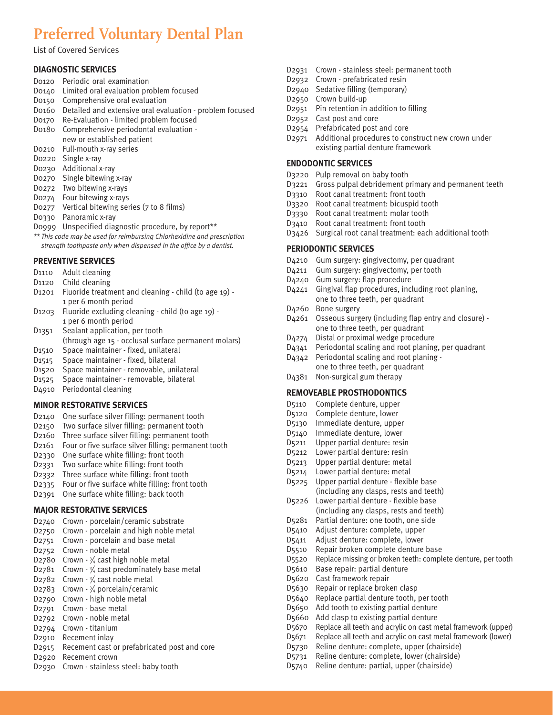## **Preferred Voluntary Dental Plan**

List of Covered Services

#### **DIAGNOSTIC SERVICES**

- D0120 Periodic oral examination
- D0140 Limited oral evaluation problem focused
- D0150 Comprehensive oral evaluation
- D0160 Detailed and extensive oral evaluation problem focused
- D0170 Re-Evaluation limited problem focused
- D0180 Comprehensive periodontal evaluation -
- new or established patient
- D0210 Full-mouth x-ray series
- D0220 Single x-ray
- D0230 Additional x-ray
- D0270 Single bitewing x-ray
- D0272 Two bitewing x-rays
- D0274 Four bitewing x-rays
- D0277 Vertical bitewing series (7 to 8 films)
- D0330 Panoramic x-ray
- D0999 Unspecified diagnostic procedure, by report\*\*
- *\*\* This code may be used for reimbursing Chlorhexidine and prescription strength toothpaste only when dispensed in the office by a dentist.*

#### **PREVENTIVE SERVICES**

- D1110 Adult cleaning
- D1120 Child cleaning
- D1201 Fluoride treatment and cleaning child (to age 19) 1 per 6 month period
- D1203 Fluoride excluding cleaning child (to age 19) 1 per 6 month period
- D1351 Sealant application, per tooth (through age 15 - occlusal surface permanent molars)
- D1510 Space maintainer fixed, unilateral
- D1515 Space maintainer fixed, bilateral
- D1520 Space maintainer removable, unilateral
- D1525 Space maintainer removable, bilateral
- D4910 Periodontal cleaning

#### **MINOR RESTORATIVE SERVICES**

- D2140 One surface silver filling: permanent tooth
- D2150 Two surface silver filling: permanent tooth
- D2160 Three surface silver filling: permanent tooth
- D2161 Four or five surface silver filling: permanent tooth
- D2330 One surface white filling: front tooth
- D2331 Two surface white filling: front tooth
- D2332 Three surface white filling: front tooth
- D2335 Four or five surface white filling: front tooth
- D2391 One surface white filling: back tooth

#### **MAJOR RESTORATIVE SERVICES**

- D2740 Crown porcelain/ceramic substrate
- D2750 Crown porcelain and high noble metal
- D2751 Crown porcelain and base metal
- D2752 Crown noble metal
- D2780 Crown  $-3/4$  cast high noble metal
- D2781 Crown  $\frac{3}{4}$  cast predominately base metal
- D2782 Crown  $-3/4$  cast noble metal
- D2783 Crown 3/4 porcelain/ceramic
- D2790 Crown high noble metal
- D2791 Crown base metal
- D2792 Crown noble metal
- D2794 Crown titanium
- D2910 Recement inlay
- D2915 Recement cast or prefabricated post and core
- D2920 Recement crown
- D2930 Crown stainless steel: baby tooth
- D2931 Crown stainless steel: permanent tooth
- D2932 Crown prefabricated resin
- D2940 Sedative filling (temporary)
- D2950 Crown build-up
- D2951 Pin retention in addition to filling
- D2952 Cast post and core
- D2954 Prefabricated post and core
- D2971 Additional procedures to construct new crown under existing partial denture framework

#### **ENDODONTIC SERVICES**

- D3220 Pulp removal on baby tooth
- D3221 Gross pulpal debridement primary and permanent teeth
- D3310 Root canal treatment: front tooth
- D3320 Root canal treatment: bicuspid tooth
- D3330 Root canal treatment: molar tooth
- D3410 Root canal treatment: front tooth
- D3426 Surgical root canal treatment: each additional tooth

#### **PERIODONTIC SERVICES**

- D4210 Gum surgery: gingivectomy, per quadrant
- D4211 Gum surgery: gingivectomy, per tooth
- D4240 Gum surgery: flap procedure
- D4241 Gingival flap procedures, including root planing, one to three teeth, per quadrant
- D4260 Bone surgery
- D4261 Osseous surgery (including flap entry and closure) one to three teeth, per quadrant
- D4274 Distal or proximal wedge procedure
- D4341 Periodontal scaling and root planing, per quadrant
- D4342 Periodontal scaling and root planing one to three teeth, per quadrant
- D4381 Non-surgical gum therapy

#### **REMOVEABLE PROSTHODONTICS**

- D5110 Complete denture, upper
- D5120 Complete denture, lower
- D5130 Immediate denture, upper
- D5140 Immediate denture, lower
- D5211 Upper partial denture: resin
- D5212 Lower partial denture: resin
- D5213 Upper partial denture: metal
- D5214 Lower partial denture: metal
- D5225 Upper partial denture flexible base (including any clasps, rests and teeth)
- D5226 Lower partial denture flexible base (including any clasps, rests and teeth)
- D5281 Partial denture: one tooth, one side
- D5410 Adjust denture: complete, upper
- D5411 Adjust denture: complete, lower

D5610 Base repair: partial denture D5620 Cast framework repair D5630 Repair or replace broken clasp

D5510 Repair broken complete denture base

D5640 Replace partial denture tooth, per tooth D5650 Add tooth to existing partial denture D5660 Add clasp to existing partial denture

D5730 Reline denture: complete, upper (chairside) D5731 Reline denture: complete, lower (chairside) D5740 Reline denture: partial, upper (chairside)

D5520 Replace missing or broken teeth: complete denture, per tooth

D5670 Replace all teeth and acrylic on cast metal framework (upper) D5671 Replace all teeth and acrylic on cast metal framework (lower)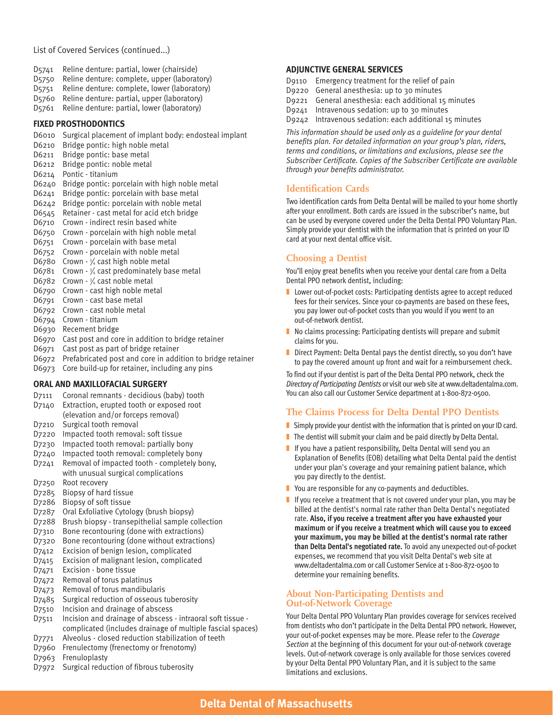#### List of Covered Services (continued...)

- D5741 Reline denture: partial, lower (chairside)
- D5750 Reline denture: complete, upper (laboratory)
- D5751 Reline denture: complete, lower (laboratory)
- D5760 Reline denture: partial, upper (laboratory)
- D5761 Reline denture: partial, lower (laboratory)

#### **FIXED PROSTHODONTICS**

- D6010 Surgical placement of implant body: endosteal implant
- D6210 Bridge pontic: high noble metal
- D6211 Bridge pontic: base metal
- D6212 Bridge pontic: noble metal
- D6214 Pontic titanium
- D6240 Bridge pontic: porcelain with high noble metal
- D6241 Bridge pontic: porcelain with base metal
- D6242 Bridge pontic: porcelain with noble metal
- D6545 Retainer cast metal for acid etch bridge
- D6710 Crown indirect resin based white
- D6750 Crown porcelain with high noble metal
- D6751 Crown porcelain with base metal
- D6752 Crown porcelain with noble metal
- D6780 Crown  $-3/4$  cast high noble metal
- D6781 Crown  $\frac{3}{4}$  cast predominately base metal
- D6782 Crown  $-3/4$  cast noble metal
- D6790 Crown cast high noble metal
- D6791 Crown cast base metal
- D6792 Crown cast noble metal
- D6794 Crown titanium
- D6930 Recement bridge
- D6970 Cast post and core in addition to bridge retainer
- D6971 Cast post as part of bridge retainer
- D6972 Prefabricated post and core in addition to bridge retainer
- D6973 Core build-up for retainer, including any pins

#### **ORAL AND MAXILLOFACIAL SURGERY**

- D7111 Coronal remnants decidious (baby) tooth
- D7140 Extraction, erupted tooth or exposed root
- (elevation and/or forceps removal)
- D7210 Surgical tooth removal
- D7220 Impacted tooth removal: soft tissue
- D7230 Impacted tooth removal: partially bony
- D7240 Impacted tooth removal: completely bony
- D7241 Removal of impacted tooth completely bony, with unusual surgical complications
- D7250 Root recovery
- D7285 Biopsy of hard tissue
- D7286 Biopsy of soft tissue
- D7287 Oral Exfoliative Cytology (brush biopsy)
- D7288 Brush biopsy transepithelial sample collection
- D7310 Bone recontouring (done with extractions)
- D7320 Bone recontouring (done without extractions)
- D7412 Excision of benign lesion, complicated
- D7415 Excision of malignant lesion, complicated
- D7471 Excision bone tissue
- D7472 Removal of torus palatinus
- D7473 Removal of torus mandibularis
- D7485 Surgical reduction of osseous tuberosity
- D7510 Incision and drainage of abscess
- D7511 Incision and drainage of abscess intraoral soft tissue complicated (includes drainage of multiple fascial spaces)
- D7771 Alveolus closed reduction stabilization of teeth
- D7960 Frenulectomy (frenectomy or frenotomy)
- D7963 Frenuloplasty
- D7972 Surgical reduction of fibrous tuberosity

#### **ADJUNCTIVE GENERAL SERVICES**

- D9110 Emergency treatment for the relief of pain
- D9220 General anesthesia: up to 30 minutes
- D9221 General anesthesia: each additional 15 minutes
- D9241 Intravenous sedation: up to 30 minutes
- D9242 Intravenous sedation: each additional 15 minutes

*This information should be used only as a guideline for your dental benefits plan. For detailed information on your group's plan, riders, terms and conditions, or limitations and exclusions, please see the Subscriber Certificate. Copies of the Subscriber Certificate are available through your benefits administrator.*

### **Identification Cards**

Two identification cards from Delta Dental will be mailed to your home shortly after your enrollment. Both cards are issued in the subscriber's name, but can be used by everyone covered under the Delta Dental PPO Voluntary Plan. Simply provide your dentist with the information that is printed on your ID card at your next dental office visit.

## **Choosing a Dentist**

You'll enjoy great benefits when you receive your dental care from a Delta Dental PPO network dentist, including:

- Lower out-of-pocket costs: Participating dentists agree to accept reduced fees for their services. Since your co-payments are based on these fees, you pay lower out-of-pocket costs than you would if you went to an out-of-network dentist.
- No claims processing: Participating dentists will prepare and submit claims for you.
- Direct Payment: Delta Dental pays the dentist directly, so you don't have to pay the covered amount up front and wait for a reimbursement check.

To find out if your dentist is part of the Delta Dental PPO network, check the *Directory of Participating Dentists* or visit our web site at www.deltadentalma.com. You can also call our Customer Service department at 1-800-872-0500.

## **The Claims Process for Delta Dental PPO Dentists**

- $\blacksquare$  Simply provide your dentist with the information that is printed on your ID card.
- $\blacksquare$  The dentist will submit your claim and be paid directly by Delta Dental.
- If you have a patient responsibility, Delta Dental will send you an Explanation of Benefits (EOB) detailing what Delta Dental paid the dentist under your plan's coverage and your remaining patient balance, which you pay directly to the dentist.
- You are responsible for any co-payments and deductibles.
- If you receive a treatment that is not covered under your plan, you may be billed at the dentist's normal rate rather than Delta Dental's negotiated rate. **Also, if you receive a treatment after you have exhausted your maximum or if you receive a treatment which will cause you to exceed your maximum, you may be billed at the dentist's normal rate rather than Delta Dental's negotiated rate.** To avoid any unexpected out-of-pocket expenses, we recommend that you visit Delta Dental's web site at www.deltadentalma.com or call Customer Service at 1-800-872-0500 to determine your remaining benefits.

#### **About Non-Participating Dentists and Out-of-Network Coverage**

Your Delta Dental PPO Voluntary Plan provides coverage for services received from dentists who don't participate in the Delta Dental PPO network. However, your out-of-pocket expenses may be more. Please refer to the *Coverage Section* at the beginning of this document for your out-of-network coverage levels. Out-of-network coverage is only available for those services covered by your Delta Dental PPO Voluntary Plan, and it is subject to the same limitations and exclusions.

## **Delta Dental of Massachusetts Delta Dental Massachusetts**